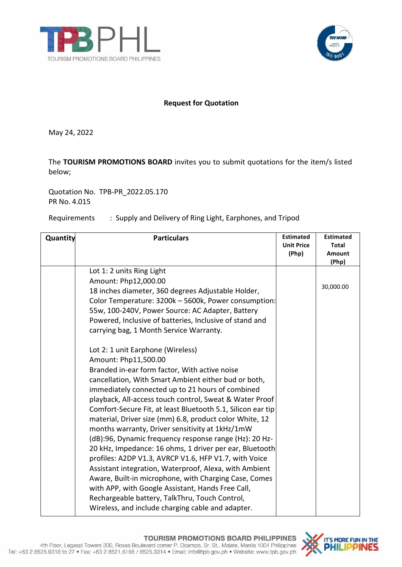



## **Request for Quotation**

May 24, 2022

The **TOURISM PROMOTIONS BOARD** invites you to submit quotations for the item/s listed below;

Quotation No. TPB-PR\_2022.05.170 PR No. 4.015

## Requirements : Supply and Delivery of Ring Light, Earphones, and Tripod

| Quantity | <b>Particulars</b>                                                                                                                                                                                                                                                                                                                                                                                                                                                                                                                                                                                                                                                                                                                                                                                                                                                                                                          | <b>Estimated</b><br><b>Unit Price</b><br>(Php) | <b>Estimated</b><br><b>Total</b><br><b>Amount</b><br>(Php) |
|----------|-----------------------------------------------------------------------------------------------------------------------------------------------------------------------------------------------------------------------------------------------------------------------------------------------------------------------------------------------------------------------------------------------------------------------------------------------------------------------------------------------------------------------------------------------------------------------------------------------------------------------------------------------------------------------------------------------------------------------------------------------------------------------------------------------------------------------------------------------------------------------------------------------------------------------------|------------------------------------------------|------------------------------------------------------------|
|          | Lot 1: 2 units Ring Light<br>Amount: Php12,000.00<br>18 inches diameter, 360 degrees Adjustable Holder,<br>Color Temperature: 3200k - 5600k, Power consumption:<br>55w, 100-240V, Power Source: AC Adapter, Battery<br>Powered, Inclusive of batteries, Inclusive of stand and<br>carrying bag, 1 Month Service Warranty.                                                                                                                                                                                                                                                                                                                                                                                                                                                                                                                                                                                                   |                                                | 30,000.00                                                  |
|          | Lot 2: 1 unit Earphone (Wireless)<br>Amount: Php11,500.00<br>Branded in-ear form factor, With active noise<br>cancellation, With Smart Ambient either bud or both,<br>immediately connected up to 21 hours of combined<br>playback, All-access touch control, Sweat & Water Proof<br>Comfort-Secure Fit, at least Bluetooth 5.1, Silicon ear tip<br>material, Driver size (mm) 6.8, product color White, 12<br>months warranty, Driver sensitivity at 1kHz/1mW<br>(dB):96, Dynamic frequency response range (Hz): 20 Hz-<br>20 kHz, Impedance: 16 ohms, 1 driver per ear, Bluetooth<br>profiles: A2DP V1.3, AVRCP V1.6, HFP V1.7, with Voice<br>Assistant integration, Waterproof, Alexa, with Ambient<br>Aware, Built-in microphone, with Charging Case, Comes<br>with APP, with Google Assistant, Hands Free Call,<br>Rechargeable battery, TalkThru, Touch Control,<br>Wireless, and include charging cable and adapter. |                                                |                                                            |

## TOURISM PROMOTIONS BOARD PHILIPPINES

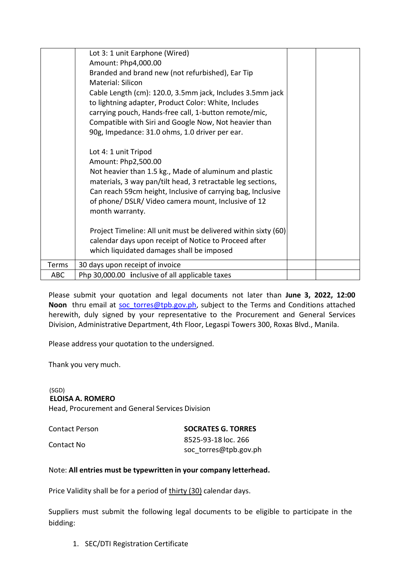|              | Lot 3: 1 unit Earphone (Wired)                                 |  |
|--------------|----------------------------------------------------------------|--|
|              | Amount: Php4,000.00                                            |  |
|              | Branded and brand new (not refurbished), Ear Tip               |  |
|              | Material: Silicon                                              |  |
|              | Cable Length (cm): 120.0, 3.5mm jack, Includes 3.5mm jack      |  |
|              | to lightning adapter, Product Color: White, Includes           |  |
|              | carrying pouch, Hands-free call, 1-button remote/mic,          |  |
|              | Compatible with Siri and Google Now, Not heavier than          |  |
|              | 90g, Impedance: 31.0 ohms, 1.0 driver per ear.                 |  |
|              |                                                                |  |
|              | Lot 4: 1 unit Tripod                                           |  |
|              | Amount: Php2,500.00                                            |  |
|              | Not heavier than 1.5 kg., Made of aluminum and plastic         |  |
|              | materials, 3 way pan/tilt head, 3 retractable leg sections,    |  |
|              | Can reach 59cm height, Inclusive of carrying bag, Inclusive    |  |
|              | of phone/ DSLR/ Video camera mount, Inclusive of 12            |  |
|              | month warranty.                                                |  |
|              | Project Timeline: All unit must be delivered within sixty (60) |  |
|              | calendar days upon receipt of Notice to Proceed after          |  |
|              | which liquidated damages shall be imposed                      |  |
|              |                                                                |  |
| <b>Terms</b> | 30 days upon receipt of invoice                                |  |
| ABC          | Php 30,000.00 inclusive of all applicable taxes                |  |

 herewith, duly signed by your representative to the Procurement and General Services Please submit your quotation and legal documents not later than **June 3, 2022, 12:00** Noon thru email at soc torres@tpb.gov.ph, subject to the Terms and Conditions attached Division, Administrative Department, 4th Floor, Legaspi Towers 300, Roxas Blvd., Manila.

Please address your quotation to the undersigned.

Thank you very much.

 (SGD) **ELOISA A. ROMERO** Head, Procurement and General Services Division

| Contact Person | <b>SOCRATES G. TORRES</b> |
|----------------|---------------------------|
|                | 8525-93-18 loc. 266       |
| Contact No     | soc torres@tpb.gov.ph     |

## Note: **All entries must be typewritten in your company letterhead.**

Price Validity shall be for a period of thirty (30) calendar days.

Suppliers must submit the following legal documents to be eligible to participate in the bidding:

1. SEC/DTI Registration Certificate